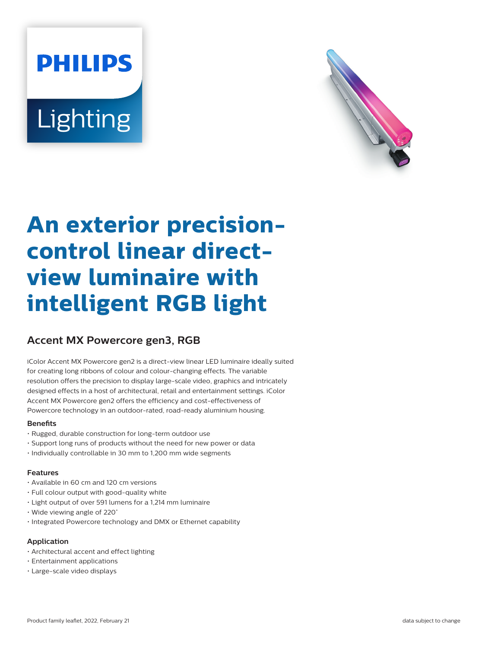# **PHILIPS** Lighting



## **An exterior precisioncontrol linear directview luminaire with intelligent RGB light**

### **Accent MX Powercore gen3, RGB**

iColor Accent MX Powercore gen2 is a direct-view linear LED luminaire ideally suited for creating long ribbons of colour and colour-changing effects. The variable resolution offers the precision to display large-scale video, graphics and intricately designed effects in a host of architectural, retail and entertainment settings. iColor Accent MX Powercore gen2 offers the efficiency and cost-effectiveness of Powercore technology in an outdoor-rated, road-ready aluminium housing.

#### **Benefits**

- Rugged, durable construction for long-term outdoor use
- Support long runs of products without the need for new power or data
- Individually controllable in 30 mm to 1,200 mm wide segments

#### **Features**

- Available in 60 cm and 120 cm versions
- Full colour output with good-quality white
- Light output of over 591 lumens for a 1,214 mm luminaire
- Wide viewing angle of 220˚
- Integrated Powercore technology and DMX or Ethernet capability

#### **Application**

- Architectural accent and effect lighting
- Entertainment applications
- Large-scale video displays